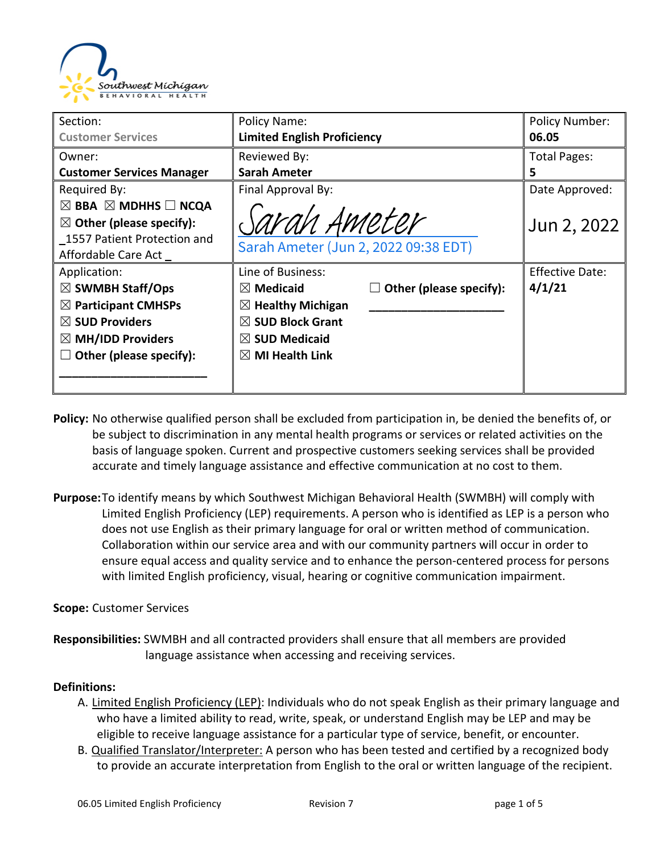

| Section:                                      | Policy Name:                         |                         | <b>Policy Number:</b>  |
|-----------------------------------------------|--------------------------------------|-------------------------|------------------------|
| <b>Customer Services</b>                      | <b>Limited English Proficiency</b>   |                         | 06.05                  |
| Owner:                                        | Reviewed By:                         |                         | <b>Total Pages:</b>    |
| <b>Customer Services Manager</b>              | <b>Sarah Ameter</b>                  |                         | 5                      |
| Required By:                                  | Final Approval By:                   |                         | Date Approved:         |
| $\boxtimes$ BBA $\boxtimes$ MDHHS $\Box$ NCQA |                                      |                         |                        |
| $\boxtimes$ Other (please specify):           | Sarah Ameter                         |                         | Jun 2, 2022            |
| 1557 Patient Protection and                   |                                      |                         |                        |
| Affordable Care Act                           | Sarah Ameter (Jun 2, 2022 09:38 EDT) |                         |                        |
| Application:                                  | Line of Business:                    |                         | <b>Effective Date:</b> |
| $\boxtimes$ SWMBH Staff/Ops                   | $\boxtimes$ Medicaid                 | Other (please specify): | 4/1/21                 |
| $\boxtimes$ Participant CMHSPs                | $\boxtimes$ Healthy Michigan         |                         |                        |
| $\boxtimes$ SUD Providers                     | $\boxtimes$ SUD Block Grant          |                         |                        |
| $\boxtimes$ MH/IDD Providers                  | $\boxtimes$ SUD Medicaid             |                         |                        |
| Other (please specify):                       | $\boxtimes$ MI Health Link           |                         |                        |
|                                               |                                      |                         |                        |
|                                               |                                      |                         |                        |

- **Policy:** No otherwise qualified person shall be excluded from participation in, be denied the benefits of, or be subject to discrimination in any mental health programs or services or related activities on the basis of language spoken. Current and prospective customers seeking services shall be provided accurate and timely language assistance and effective communication at no cost to them.
- **Purpose:**To identify means by which Southwest Michigan Behavioral Health (SWMBH) will comply with Limited English Proficiency (LEP) requirements. A person who is identified as LEP is a person who does not use English as their primary language for oral or written method of communication. Collaboration within our service area and with our community partners will occur in order to ensure equal access and quality service and to enhance the person-centered process for persons with limited English proficiency, visual, hearing or cognitive communication impairment.

#### **Scope:** Customer Services

**Responsibilities:** SWMBH and all contracted providers shall ensure that all members are provided language assistance when accessing and receiving services.

#### **Definitions:**

- A. Limited English Proficiency (LEP): Individuals who do not speak English as their primary language and who have a limited ability to read, write, speak, or understand English may be LEP and may be eligible to receive language assistance for a particular type of service, benefit, or encounter.
- B. Qualified Translator/Interpreter: A person who has been tested and certified by a recognized body to provide an accurate interpretation from English to the oral or written language of the recipient.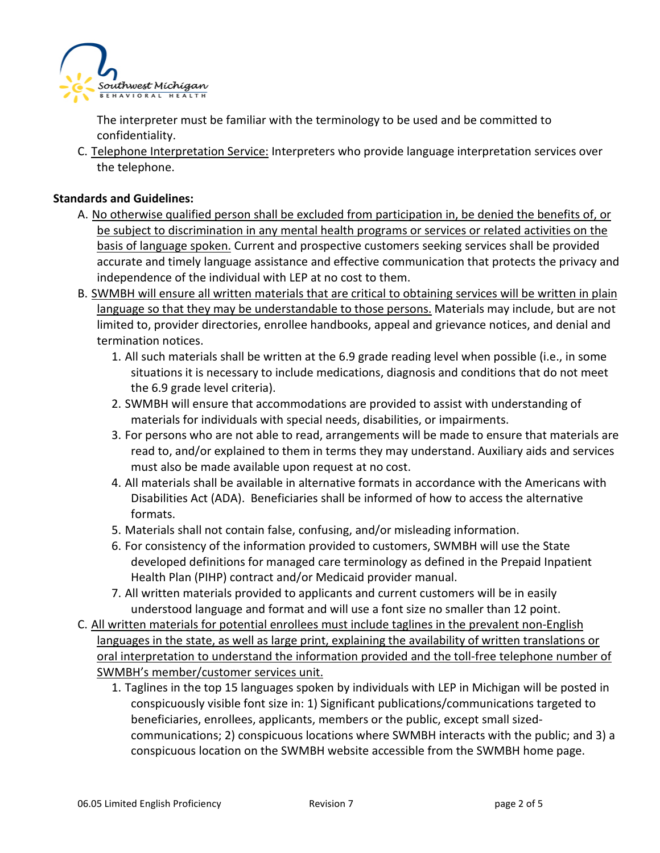

The interpreter must be familiar with the terminology to be used and be committed to confidentiality.

C. Telephone Interpretation Service: Interpreters who provide language interpretation services over the telephone.

#### **Standards and Guidelines:**

- A. No otherwise qualified person shall be excluded from participation in, be denied the benefits of, or be subject to discrimination in any mental health programs or services or related activities on the basis of language spoken. Current and prospective customers seeking services shall be provided accurate and timely language assistance and effective communication that protects the privacy and independence of the individual with LEP at no cost to them.
- B. SWMBH will ensure all written materials that are critical to obtaining services will be written in plain language so that they may be understandable to those persons. Materials may include, but are not limited to, provider directories, enrollee handbooks, appeal and grievance notices, and denial and termination notices.
	- 1. All such materials shall be written at the 6.9 grade reading level when possible (i.e., in some situations it is necessary to include medications, diagnosis and conditions that do not meet the 6.9 grade level criteria).
	- 2. SWMBH will ensure that accommodations are provided to assist with understanding of materials for individuals with special needs, disabilities, or impairments.
	- 3. For persons who are not able to read, arrangements will be made to ensure that materials are read to, and/or explained to them in terms they may understand. Auxiliary aids and services must also be made available upon request at no cost.
	- 4. All materials shall be available in alternative formats in accordance with the Americans with Disabilities Act (ADA). Beneficiaries shall be informed of how to access the alternative formats.
	- 5. Materials shall not contain false, confusing, and/or misleading information.
	- 6. For consistency of the information provided to customers, SWMBH will use the State developed definitions for managed care terminology as defined in the Prepaid Inpatient Health Plan (PIHP) contract and/or Medicaid provider manual.
	- 7. All written materials provided to applicants and current customers will be in easily understood language and format and will use a font size no smaller than 12 point.
- C. All written materials for potential enrollees must include taglines in the prevalent non-English languages in the state, as well as large print, explaining the availability of written translations or oral interpretation to understand the information provided and the toll-free telephone number of SWMBH's member/customer services unit.
	- 1. Taglines in the top 15 languages spoken by individuals with LEP in Michigan will be posted in conspicuously visible font size in: 1) Significant publications/communications targeted to beneficiaries, enrollees, applicants, members or the public, except small sizedcommunications; 2) conspicuous locations where SWMBH interacts with the public; and 3) a conspicuous location on the SWMBH website accessible from the SWMBH home page.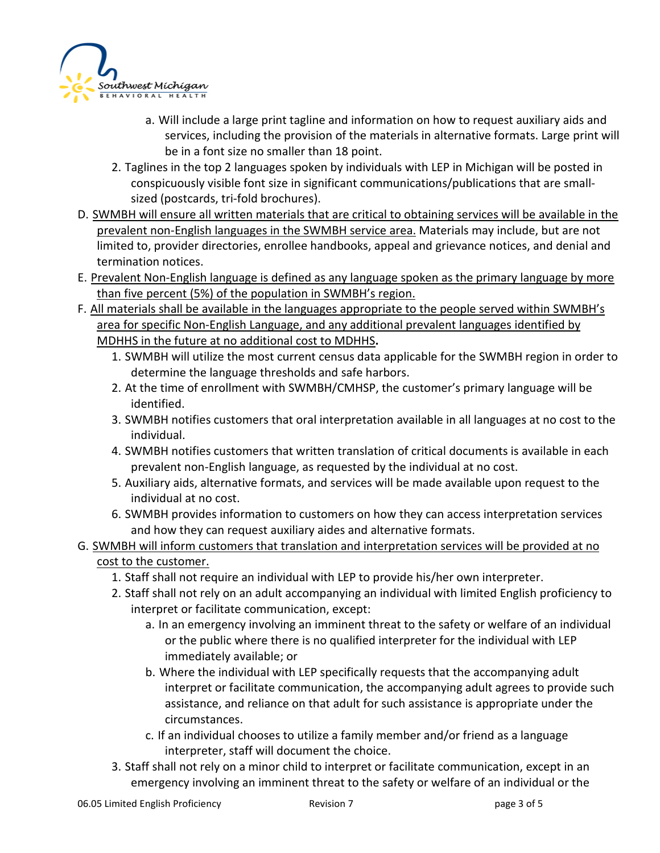

- a. Will include a large print tagline and information on how to request auxiliary aids and services, including the provision of the materials in alternative formats. Large print will be in a font size no smaller than 18 point.
- 2. Taglines in the top 2 languages spoken by individuals with LEP in Michigan will be posted in conspicuously visible font size in significant communications/publications that are smallsized (postcards, tri-fold brochures).
- D. SWMBH will ensure all written materials that are critical to obtaining services will be available in the prevalent non-English languages in the SWMBH service area. Materials may include, but are not limited to, provider directories, enrollee handbooks, appeal and grievance notices, and denial and termination notices.
- E. Prevalent Non-English language is defined as any language spoken as the primary language by more than five percent (5%) of the population in SWMBH's region.
- F. All materials shall be available in the languages appropriate to the people served within SWMBH's area for specific Non-English Language, and any additional prevalent languages identified by MDHHS in the future at no additional cost to MDHHS**.**
	- 1. SWMBH will utilize the most current census data applicable for the SWMBH region in order to determine the language thresholds and safe harbors.
	- 2. At the time of enrollment with SWMBH/CMHSP, the customer's primary language will be identified.
	- 3. SWMBH notifies customers that oral interpretation available in all languages at no cost to the individual.
	- 4. SWMBH notifies customers that written translation of critical documents is available in each prevalent non-English language, as requested by the individual at no cost.
	- 5. Auxiliary aids, alternative formats, and services will be made available upon request to the individual at no cost.
	- 6. SWMBH provides information to customers on how they can access interpretation services and how they can request auxiliary aides and alternative formats.
- G. SWMBH will inform customers that translation and interpretation services will be provided at no cost to the customer.
	- 1. Staff shall not require an individual with LEP to provide his/her own interpreter.
	- 2. Staff shall not rely on an adult accompanying an individual with limited English proficiency to interpret or facilitate communication, except:
		- a. In an emergency involving an imminent threat to the safety or welfare of an individual or the public where there is no qualified interpreter for the individual with LEP immediately available; or
		- b. Where the individual with LEP specifically requests that the accompanying adult interpret or facilitate communication, the accompanying adult agrees to provide such assistance, and reliance on that adult for such assistance is appropriate under the circumstances.
		- c. If an individual chooses to utilize a family member and/or friend as a language interpreter, staff will document the choice.
	- 3. Staff shall not rely on a minor child to interpret or facilitate communication, except in an emergency involving an imminent threat to the safety or welfare of an individual or the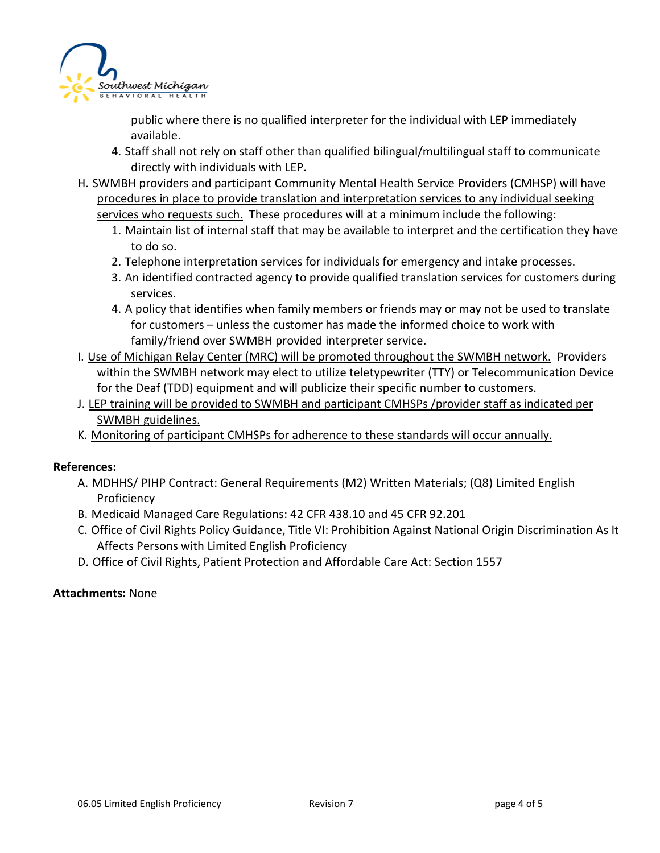

public where there is no qualified interpreter for the individual with LEP immediately available.

- 4. Staff shall not rely on staff other than qualified bilingual/multilingual staff to communicate directly with individuals with LEP.
- H. SWMBH providers and participant Community Mental Health Service Providers (CMHSP) will have procedures in place to provide translation and interpretation services to any individual seeking services who requests such. These procedures will at a minimum include the following:
	- 1. Maintain list of internal staff that may be available to interpret and the certification they have to do so.
	- 2. Telephone interpretation services for individuals for emergency and intake processes.
	- 3. An identified contracted agency to provide qualified translation services for customers during services.
	- 4. A policy that identifies when family members or friends may or may not be used to translate for customers – unless the customer has made the informed choice to work with family/friend over SWMBH provided interpreter service.
- I. Use of Michigan Relay Center (MRC) will be promoted throughout the SWMBH network. Providers within the SWMBH network may elect to utilize teletypewriter (TTY) or Telecommunication Device for the Deaf (TDD) equipment and will publicize their specific number to customers.
- J. LEP training will be provided to SWMBH and participant CMHSPs /provider staff as indicated per SWMBH guidelines.
- K. Monitoring of participant CMHSPs for adherence to these standards will occur annually.

#### **References:**

- A. MDHHS/ PIHP Contract: General Requirements (M2) Written Materials; (Q8) Limited English Proficiency
- B. Medicaid Managed Care Regulations: 42 CFR 438.10 and 45 CFR 92.201
- C. Office of Civil Rights Policy Guidance, Title VI: Prohibition Against National Origin Discrimination As It Affects Persons with Limited English Proficiency
- D. Office of Civil Rights, Patient Protection and Affordable Care Act: Section 1557

#### **Attachments:** None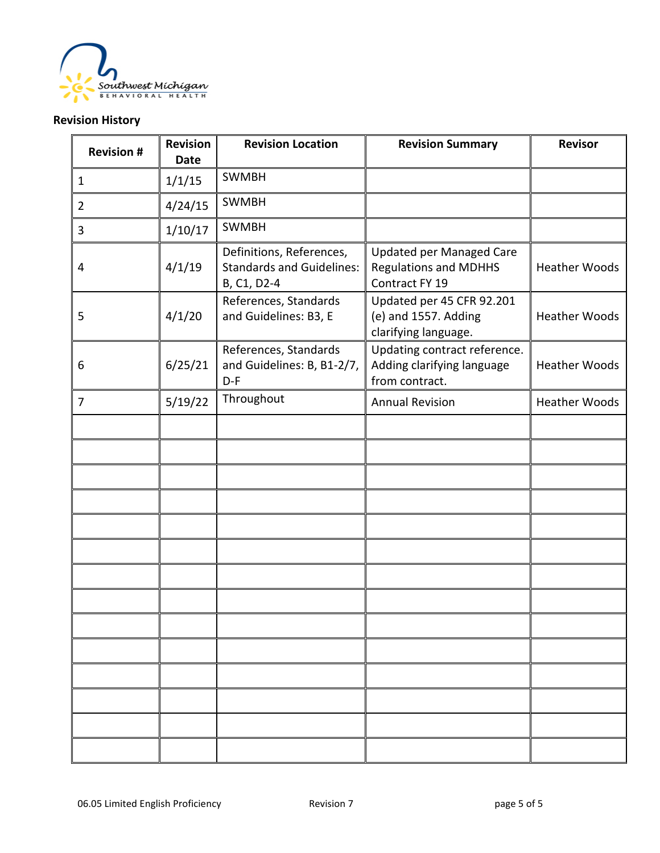

### **Revision History**

| <b>Revision #</b> | <b>Revision</b><br><b>Date</b> | <b>Revision Location</b>                                                    | <b>Revision Summary</b>                                                           | <b>Revisor</b>       |
|-------------------|--------------------------------|-----------------------------------------------------------------------------|-----------------------------------------------------------------------------------|----------------------|
| $\mathbf{1}$      | 1/1/15                         | <b>SWMBH</b>                                                                |                                                                                   |                      |
| $\overline{2}$    | 4/24/15                        | <b>SWMBH</b>                                                                |                                                                                   |                      |
| 3                 | 1/10/17                        | <b>SWMBH</b>                                                                |                                                                                   |                      |
| 4                 | 4/1/19                         | Definitions, References,<br><b>Standards and Guidelines:</b><br>B, C1, D2-4 | <b>Updated per Managed Care</b><br><b>Regulations and MDHHS</b><br>Contract FY 19 | <b>Heather Woods</b> |
| 5                 | 4/1/20                         | References, Standards<br>and Guidelines: B3, E                              | Updated per 45 CFR 92.201<br>(e) and 1557. Adding<br>clarifying language.         | <b>Heather Woods</b> |
| 6                 | 6/25/21                        | References, Standards<br>and Guidelines: B, B1-2/7,<br>$D-F$                | Updating contract reference.<br>Adding clarifying language<br>from contract.      | <b>Heather Woods</b> |
| $\overline{7}$    | 5/19/22                        | Throughout                                                                  | <b>Annual Revision</b>                                                            | <b>Heather Woods</b> |
|                   |                                |                                                                             |                                                                                   |                      |
|                   |                                |                                                                             |                                                                                   |                      |
|                   |                                |                                                                             |                                                                                   |                      |
|                   |                                |                                                                             |                                                                                   |                      |
|                   |                                |                                                                             |                                                                                   |                      |
|                   |                                |                                                                             |                                                                                   |                      |
|                   |                                |                                                                             |                                                                                   |                      |
|                   |                                |                                                                             |                                                                                   |                      |
|                   |                                |                                                                             |                                                                                   |                      |
|                   |                                |                                                                             |                                                                                   |                      |
|                   |                                |                                                                             |                                                                                   |                      |
|                   |                                |                                                                             |                                                                                   |                      |
|                   |                                |                                                                             |                                                                                   |                      |
|                   |                                |                                                                             |                                                                                   |                      |